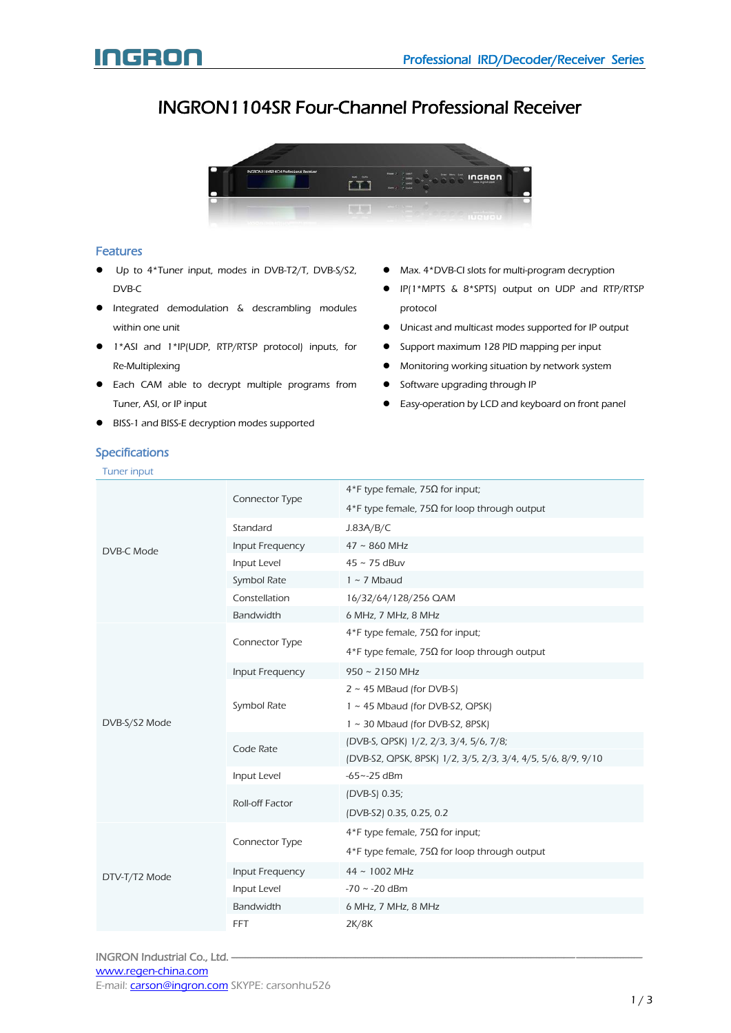## INGRON1104SR Four-Channel Professional Receiver



#### Features

- Up to 4\*Tuner input, modes in DVB-T2/T, DVB-S/S2, DVB-C
- **•** Integrated demodulation & descrambling modules within one unit
- 1\*ASI and 1\*IP(UDP, RTP/RTSP protocol) inputs, for Re-Multiplexing
- **•** Each CAM able to decrypt multiple programs from Tuner, ASI, or IP input
- BISS-1 and BISS-E decryption modes supported
- Max. 4\*DVB-CI slots for multi-program decryption
- IP(1\*MPTS & 8\*SPTS) output on UDP and RTP/RTSP protocol
- Unicast and multicast modes supported for IP output
- Support maximum 128 PID mapping per input
- Monitoring working situation by network system
- **•** Software upgrading through IP
- Easy-operation by LCD and keyboard on front panel

### Specifications

Tuner input

| DVB-C Mode    | Connector Type   | 4*F type female, 75Ω for input;                              |
|---------------|------------------|--------------------------------------------------------------|
|               |                  | 4*F type female, 75Ω for loop through output                 |
|               | Standard         | J.83A/B/C                                                    |
|               | Input Frequency  | $47 \sim 860$ MHz                                            |
|               | Input Level      | $45 \sim 75$ dBuv                                            |
|               | Symbol Rate      | $1 \sim 7$ Mbaud                                             |
|               | Constellation    | 16/32/64/128/256 QAM                                         |
|               | Bandwidth        | 6 MHz, 7 MHz, 8 MHz                                          |
|               | Connector Type   | $4*$ F type female, 75Ω for input;                           |
|               |                  | $4*$ F type female, 75 $\Omega$ for loop through output      |
|               | Input Frequency  | $950 \sim 2150$ MHz                                          |
|               | Symbol Rate      | $2 \sim 45$ MBaud (for DVB-S)                                |
|               |                  | 1 ~ 45 Mbaud (for DVB-S2, QPSK)                              |
| DVB-S/S2 Mode |                  | $1 \sim 30$ Mbaud (for DVB-S2, 8PSK)                         |
|               | Code Rate        | (DVB-S, QPSK) 1/2, 2/3, 3/4, 5/6, 7/8;                       |
|               |                  | (DVB-S2, QPSK, 8PSK) 1/2, 3/5, 2/3, 3/4, 4/5, 5/6, 8/9, 9/10 |
|               | Input Level      | $-65 - -25$ dBm                                              |
|               | Roll-off Factor  | (DVB-S) 0.35;                                                |
|               |                  | (DVB-S2) 0.35, 0.25, 0.2                                     |
| DTV-T/T2 Mode | Connector Type   | 4*F type female, $75Ω$ for input;                            |
|               |                  | 4*F type female, 75Ω for loop through output                 |
|               | Input Frequency  | 44~1002 MHz                                                  |
|               | Input Level      | $-70 \sim -20$ dBm                                           |
|               | <b>Bandwidth</b> | 6 MHz, 7 MHz, 8 MHz                                          |
|               | <b>FFT</b>       | 2K/8K                                                        |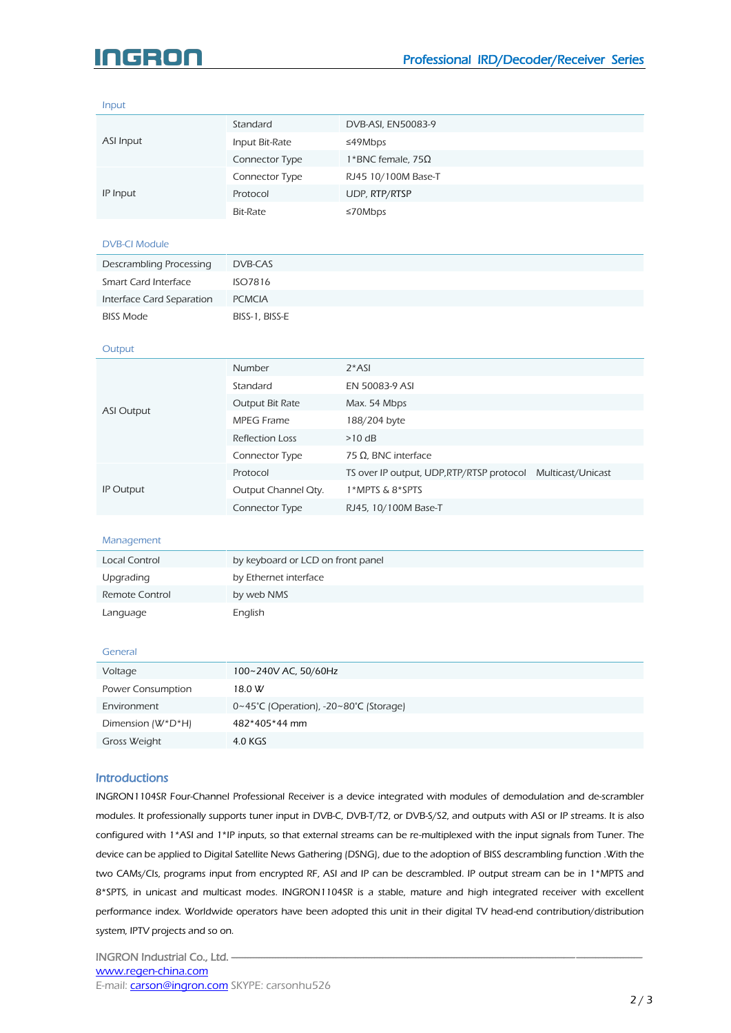# nicisloir

Input

| ASI Input                                                                                                                       | Standard                               | DVB-ASI, EN50083-9                                                                                                   |                   |  |  |
|---------------------------------------------------------------------------------------------------------------------------------|----------------------------------------|----------------------------------------------------------------------------------------------------------------------|-------------------|--|--|
|                                                                                                                                 | Input Bit-Rate                         | ≤49Mbps                                                                                                              |                   |  |  |
|                                                                                                                                 | Connector Type                         | 1*BNC female, $75\Omega$                                                                                             |                   |  |  |
| IP Input                                                                                                                        | Connector Type                         | RJ45 10/100M Base-T                                                                                                  |                   |  |  |
|                                                                                                                                 | Protocol                               | UDP, RTP/RTSP                                                                                                        |                   |  |  |
|                                                                                                                                 | <b>Bit-Rate</b>                        | ≤70Mbps                                                                                                              |                   |  |  |
|                                                                                                                                 |                                        |                                                                                                                      |                   |  |  |
| <b>DVB-CI Module</b>                                                                                                            |                                        |                                                                                                                      |                   |  |  |
| Descrambling Processing                                                                                                         | DVB-CAS                                |                                                                                                                      |                   |  |  |
| Smart Card Interface                                                                                                            | <b>ISO7816</b>                         |                                                                                                                      |                   |  |  |
| Interface Card Separation                                                                                                       | <b>PCMCIA</b>                          |                                                                                                                      |                   |  |  |
| <b>BISS Mode</b>                                                                                                                | BISS-1, BISS-E                         |                                                                                                                      |                   |  |  |
|                                                                                                                                 |                                        |                                                                                                                      |                   |  |  |
| Output                                                                                                                          |                                        |                                                                                                                      |                   |  |  |
|                                                                                                                                 | Number                                 | $2*ASI$                                                                                                              |                   |  |  |
|                                                                                                                                 | Standard                               | EN 50083-9 ASI                                                                                                       |                   |  |  |
| <b>ASI Output</b>                                                                                                               | Output Bit Rate                        | Max. 54 Mbps                                                                                                         |                   |  |  |
|                                                                                                                                 | <b>MPEG Frame</b>                      | 188/204 byte                                                                                                         |                   |  |  |
|                                                                                                                                 | <b>Reflection Loss</b>                 | $>10$ dB                                                                                                             |                   |  |  |
|                                                                                                                                 | Connector Type                         | 75 Ω, BNC interface                                                                                                  |                   |  |  |
|                                                                                                                                 | Protocol                               | TS over IP output, UDP, RTP/RTSP protocol                                                                            | Multicast/Unicast |  |  |
| IP Output                                                                                                                       | Output Channel Oty.                    | 1*MPTS & 8*SPTS                                                                                                      |                   |  |  |
|                                                                                                                                 | Connector Type                         | RJ45, 10/100M Base-T                                                                                                 |                   |  |  |
|                                                                                                                                 |                                        |                                                                                                                      |                   |  |  |
| Management                                                                                                                      |                                        |                                                                                                                      |                   |  |  |
| Local Control                                                                                                                   | by keyboard or LCD on front panel      |                                                                                                                      |                   |  |  |
| Upgrading                                                                                                                       | by Ethernet interface                  |                                                                                                                      |                   |  |  |
| Remote Control                                                                                                                  | by web NMS                             |                                                                                                                      |                   |  |  |
| Language                                                                                                                        | English                                |                                                                                                                      |                   |  |  |
|                                                                                                                                 |                                        |                                                                                                                      |                   |  |  |
| General                                                                                                                         |                                        |                                                                                                                      |                   |  |  |
| Voltage                                                                                                                         | 100~240V AC, 50/60Hz                   |                                                                                                                      |                   |  |  |
| Power Consumption                                                                                                               | 18.0 W                                 |                                                                                                                      |                   |  |  |
| Environment                                                                                                                     | 0~45°C (Operation), -20~80°C (Storage) |                                                                                                                      |                   |  |  |
| Dimension (W*D*H)                                                                                                               | 482*405*44 mm                          |                                                                                                                      |                   |  |  |
| Gross Weight                                                                                                                    | 4.0 KGS                                |                                                                                                                      |                   |  |  |
|                                                                                                                                 |                                        |                                                                                                                      |                   |  |  |
| <b>Introductions</b>                                                                                                            |                                        |                                                                                                                      |                   |  |  |
|                                                                                                                                 |                                        | INGRON1104SR Four-Channel Professional Receiver is a device integrated with modules of demodulation and de-scrambler |                   |  |  |
|                                                                                                                                 |                                        |                                                                                                                      |                   |  |  |
| modules. It professionally supports tuner input in DVB-C, DVB-T/T2, or DVB-S/S2, and outputs with ASI or IP streams. It is also |                                        |                                                                                                                      |                   |  |  |

modules. It professionally supports tuner input in DVB-C, DVB-T/T2, or DVB-S/S2, and outputs with ASI or IP streams. It is also configured with 1\*ASI and 1\*IP inputs, so that external streams can be re-multiplexed with the input signals from Tuner. The device can be applied to Digital Satellite News Gathering (DSNG), due to the adoption of BISS descrambling function .With the two CAMs/CIs, programs input from encrypted RF, ASI and IP can be descrambled. IP output stream can be in 1\*MPTS and 8\*SPTS, in unicast and multicast modes. INGRON1104SR is a stable, mature and high integrated receiver with excellent performance index. Worldwide operators have been adopted this unit in their digital TV head-end contribution/distribution system, IPTV projects and so on.